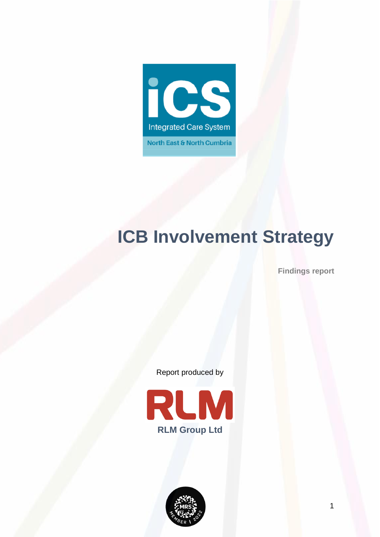

# **ICB Involvement Strategy**

**Findings report**

Report produced by

<span id="page-0-0"></span>

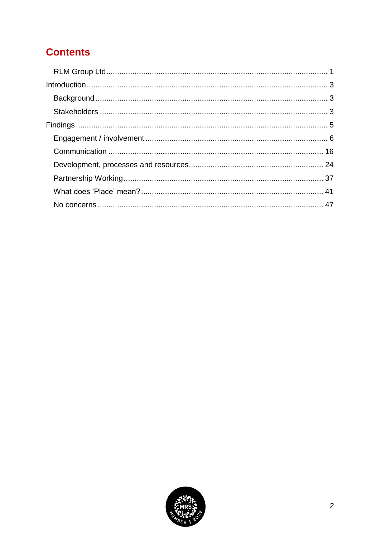# **Contents**

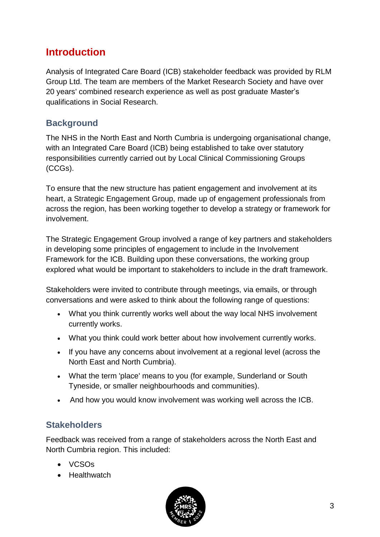## <span id="page-2-0"></span>**Introduction**

Analysis of Integrated Care Board (ICB) stakeholder feedback was provided by RLM Group Ltd. The team are members of the Market Research Society and have over 20 years' combined research experience as well as post graduate Master's qualifications in Social Research.

## <span id="page-2-1"></span>**Background**

The NHS in the North East and North Cumbria is undergoing organisational change, with an Integrated Care Board (ICB) being established to take over statutory responsibilities currently carried out by Local Clinical Commissioning Groups (CCGs).

To ensure that the new structure has patient engagement and involvement at its heart, a Strategic Engagement Group, made up of engagement professionals from across the region, has been working together to develop a strategy or framework for involvement.

The Strategic Engagement Group involved a range of key partners and stakeholders in developing some principles of engagement to include in the Involvement Framework for the ICB. Building upon these conversations, the working group explored what would be important to stakeholders to include in the draft framework.

Stakeholders were invited to contribute through meetings, via emails, or through conversations and were asked to think about the following range of questions:

- What you think currently works well about the way local NHS involvement currently works.
- What you think could work better about how involvement currently works.
- If you have any concerns about involvement at a regional level (across the North East and North Cumbria).
- What the term 'place' means to you (for example, Sunderland or South Tyneside, or smaller neighbourhoods and communities).
- And how you would know involvement was working well across the ICB.

## <span id="page-2-2"></span>**Stakeholders**

Feedback was received from a range of stakeholders across the North East and North Cumbria region. This included:

- VCSOs
- Healthwatch

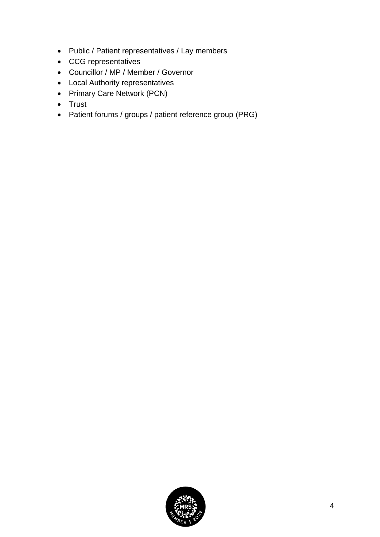- Public / Patient representatives / Lay members
- CCG representatives
- Councillor / MP / Member / Governor
- Local Authority representatives
- Primary Care Network (PCN)
- Trust
- Patient forums / groups / patient reference group (PRG)

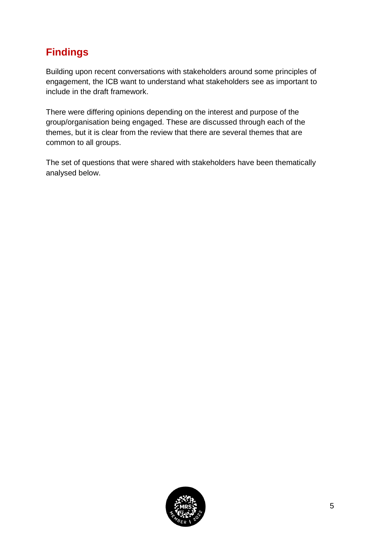# <span id="page-4-0"></span>**Findings**

Building upon recent conversations with stakeholders around some principles of engagement, the ICB want to understand what stakeholders see as important to include in the draft framework.

There were differing opinions depending on the interest and purpose of the group/organisation being engaged. These are discussed through each of the themes, but it is clear from the review that there are several themes that are common to all groups.

The set of questions that were shared with stakeholders have been thematically analysed below.

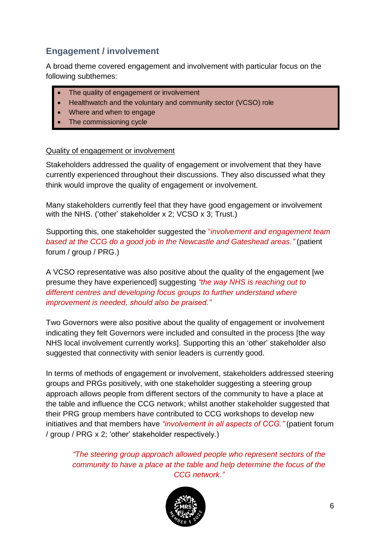## <span id="page-5-0"></span>**Engagement / involvement**

A broad theme covered engagement and involvement with particular focus on the following subthemes:

- The quality of engagement or involvement
- Healthwatch and the voluntary and community sector (VCSO) role
- Where and when to engage
- The commissioning cycle

#### Quality of engagement or involvement

Stakeholders addressed the quality of engagement or involvement that they have currently experienced throughout their discussions. They also discussed what they think would improve the quality of engagement or involvement.

Many stakeholders currently feel that they have good engagement or involvement with the NHS. ('other' stakeholder x 2; VCSO x 3; Trust.)

Supporting this, one stakeholder suggested the "*involvement and engagement team based at the CCG do a good job in the Newcastle and Gateshead areas."* (patient forum / group / PRG.)

A VCSO representative was also positive about the quality of the engagement [we presume they have experienced] suggesting *"the way NHS is reaching out to different centres and developing focus groups to further understand where improvement is needed, should also be praised."*

Two Governors were also positive about the quality of engagement or involvement indicating they felt Governors were included and consulted in the process [the way NHS local involvement currently works]. Supporting this an 'other' stakeholder also suggested that connectivity with senior leaders is currently good.

In terms of methods of engagement or involvement, stakeholders addressed steering groups and PRGs positively, with one stakeholder suggesting a steering group approach allows people from different sectors of the community to have a place at the table and influence the CCG network; whilst another stakeholder suggested that their PRG group members have contributed to CCG workshops to develop new initiatives and that members have *"involvement in all aspects of CCG."* (patient forum / group / PRG x 2; 'other' stakeholder respectively.)

*"The steering group approach allowed people who represent sectors of the community to have a place at the table and help determine the focus of the CCG network."*

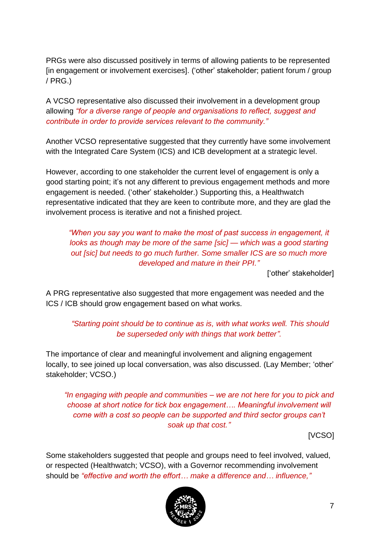PRGs were also discussed positively in terms of allowing patients to be represented [in engagement or involvement exercises]. ('other' stakeholder; patient forum / group / PRG.)

A VCSO representative also discussed their involvement in a development group allowing *"for a diverse range of people and organisations to reflect, suggest and contribute in order to provide services relevant to the community."*

Another VCSO representative suggested that they currently have some involvement with the Integrated Care System (ICS) and ICB development at a strategic level.

However, according to one stakeholder the current level of engagement is only a good starting point; it's not any different to previous engagement methods and more engagement is needed. ('other' stakeholder.) Supporting this, a Healthwatch representative indicated that they are keen to contribute more, and they are glad the involvement process is iterative and not a finished project.

*"When you say you want to make the most of past success in engagement, it looks as though may be more of the same [sic] — which was a good starting out [sic] but needs to go much further. Some smaller ICS are so much more developed and mature in their PPI."*

['other' stakeholder]

A PRG representative also suggested that more engagement was needed and the ICS / ICB should grow engagement based on what works.

*"Starting point should be to continue as is, with what works well. This should be superseded only with things that work better".*

The importance of clear and meaningful involvement and aligning engagement locally, to see joined up local conversation, was also discussed. (Lay Member; 'other' stakeholder; VCSO.)

*"In engaging with people and communities – we are not here for you to pick and choose at short notice for tick box engagement…. Meaningful involvement will come with a cost so people can be supported and third sector groups can't soak up that cost."*

[VCSO]

Some stakeholders suggested that people and groups need to feel involved, valued, or respected (Healthwatch; VCSO), with a Governor recommending involvement should be *"effective and worth the effort… make a difference and… influence,"*

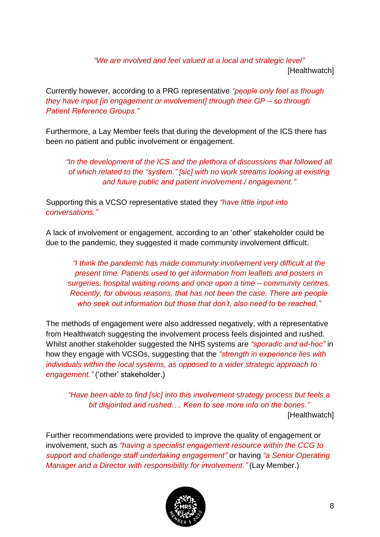*"We are involved and feel valued at a local and strategic level"* [Healthwatch]

Currently however, according to a PRG representative *"people only feel as though they have input [in engagement or involvement] through their GP – so through Patient Reference Groups."*

Furthermore, a Lay Member feels that during the development of the ICS there has been no patient and public involvement or engagement.

*"In the development of the ICS and the plethora of discussions that followed all of which related to the "system." [sic] with no work streams looking at existing and future public and patient involvement / engagement."*

Supporting this a VCSO representative stated they *"have little input into conversations."*

A lack of involvement or engagement, according to an 'other' stakeholder could be due to the pandemic, they suggested it made community involvement difficult.

*"I think the pandemic has made community involvement very difficult at the present time. Patients used to get information from leaflets and posters in surgeries, hospital waiting rooms and once upon a time – community centres. Recently, for obvious reasons, that has not been the case. There are people who seek out information but those that don't, also need to be reached."*

The methods of engagement were also addressed negatively, with a representative from Healthwatch suggesting the involvement process feels disjointed and rushed. Whilst another stakeholder suggested the NHS systems are *"sporadic and ad-hoc"* in how they engage with VCSOs, suggesting that the *"strength in experience lies with individuals within the local systems, as opposed to a wider strategic approach to engagement."* ('other' stakeholder.)

*"Have been able to find [sic] into this involvement strategy process but feels a bit disjointed and rushed…. Keen to see more info on the bones."* [Healthwatch]

Further recommendations were provided to improve the quality of engagement or involvement, such as *"having a specialist engagement resource within the CCG to support and challenge staff undertaking engagement"* or having *"a Senior Operating Manager and a Director with responsibility for involvement."* (Lay Member.)

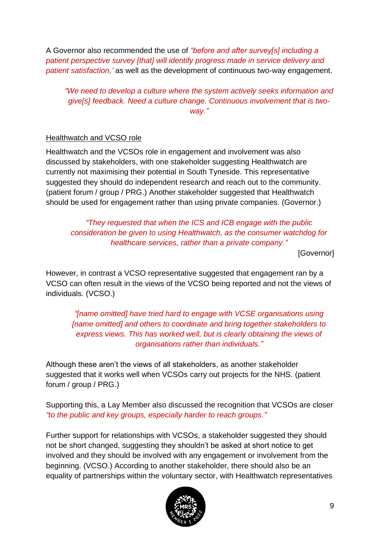A Governor also recommended the use of *"before and after survey[s] including a patient perspective survey [that] will identify progress made in service delivery and patient satisfaction,'* as well as the development of continuous two-way engagement.

*"We need to develop a culture where the system actively seeks information and give[s] feedback. Need a culture change. Continuous involvement that is twoway."*

## Healthwatch and VCSO role

Healthwatch and the VCSOs role in engagement and involvement was also discussed by stakeholders, with one stakeholder suggesting Healthwatch are currently not maximising their potential in South Tyneside. This representative suggested they should do independent research and reach out to the community. (patient forum / group / PRG.) Another stakeholder suggested that Healthwatch should be used for engagement rather than using private companies. (Governor.)

*"They requested that when the ICS and ICB engage with the public consideration be given to using Healthwatch, as the consumer watchdog for healthcare services, rather than a private company."*

[Governor]

However, in contrast a VCSO representative suggested that engagement ran by a VCSO can often result in the views of the VCSO being reported and not the views of individuals. (VCSO.)

*"[name omitted] have tried hard to engage with VCSE organisations using [name omitted] and others to coordinate and bring together stakeholders to express views. This has worked well, but is clearly obtaining the views of organisations rather than individuals."*

Although these aren't the views of all stakeholders, as another stakeholder suggested that it works well when VCSOs carry out projects for the NHS. (patient forum / group / PRG.)

Supporting this, a Lay Member also discussed the recognition that VCSOs are closer *"to the public and key groups, especially harder to reach groups."*

Further support for relationships with VCSOs, a stakeholder suggested they should not be short changed, suggesting they shouldn't be asked at short notice to get involved and they should be involved with any engagement or involvement from the beginning. (VCSO.) According to another stakeholder, there should also be an equality of partnerships within the voluntary sector, with Healthwatch representatives

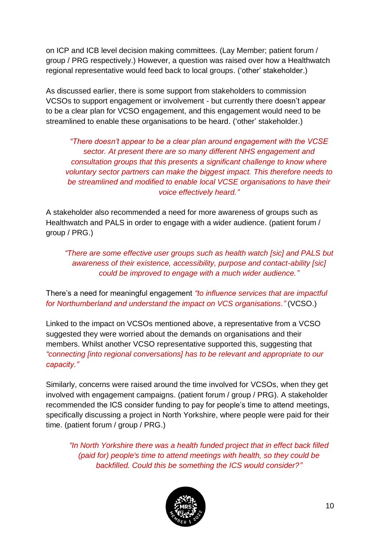on ICP and ICB level decision making committees. (Lay Member; patient forum / group / PRG respectively.) However, a question was raised over how a Healthwatch regional representative would feed back to local groups. ('other' stakeholder.)

As discussed earlier, there is some support from stakeholders to commission VCSOs to support engagement or involvement - but currently there doesn't appear to be a clear plan for VCSO engagement, and this engagement would need to be streamlined to enable these organisations to be heard. ('other' stakeholder.)

*"There doesn't appear to be a clear plan around engagement with the VCSE sector. At present there are so many different NHS engagement and consultation groups that this presents a significant challenge to know where voluntary sector partners can make the biggest impact. This therefore needs to be streamlined and modified to enable local VCSE organisations to have their voice effectively heard."*

A stakeholder also recommended a need for more awareness of groups such as Healthwatch and PALS in order to engage with a wider audience. (patient forum / group / PRG.)

*"There are some effective user groups such as health watch [sic] and PALS but awareness of their existence, accessibility, purpose and contact-ability [sic] could be improved to engage with a much wider audience."*

There's a need for meaningful engagement *"to influence services that are impactful for Northumberland and understand the impact on VCS organisations."* (VCSO.)

Linked to the impact on VCSOs mentioned above, a representative from a VCSO suggested they were worried about the demands on organisations and their members. Whilst another VCSO representative supported this, suggesting that *"connecting [into regional conversations] has to be relevant and appropriate to our capacity."*

Similarly, concerns were raised around the time involved for VCSOs, when they get involved with engagement campaigns. (patient forum / group / PRG). A stakeholder recommended the ICS consider funding to pay for people's time to attend meetings, specifically discussing a project in North Yorkshire, where people were paid for their time. (patient forum / group / PRG.)

*"In North Yorkshire there was a health funded project that in effect back filled (paid for) people's time to attend meetings with health, so they could be backfilled. Could this be something the ICS would consider?"*

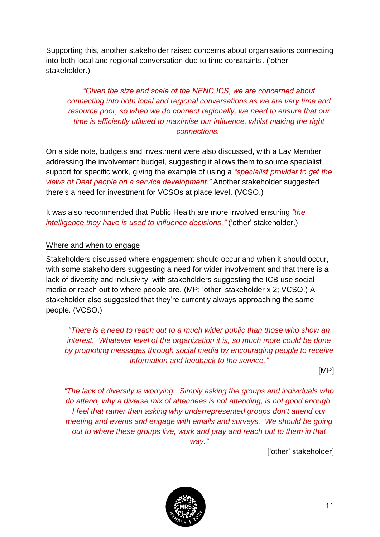Supporting this, another stakeholder raised concerns about organisations connecting into both local and regional conversation due to time constraints. ('other' stakeholder.)

*"Given the size and scale of the NENC ICS, we are concerned about connecting into both local and regional conversations as we are very time and resource poor, so when we do connect regionally, we need to ensure that our time is efficiently utilised to maximise our influence, whilst making the right connections."*

On a side note, budgets and investment were also discussed, with a Lay Member addressing the involvement budget, suggesting it allows them to source specialist support for specific work, giving the example of using a *"specialist provider to get the views of Deaf people on a service development."* Another stakeholder suggested there's a need for investment for VCSOs at place level. (VCSO.)

It was also recommended that Public Health are more involved ensuring *"the intelligence they have is used to influence decisions."* ('other' stakeholder.)

#### Where and when to engage

Stakeholders discussed where engagement should occur and when it should occur, with some stakeholders suggesting a need for wider involvement and that there is a lack of diversity and inclusivity, with stakeholders suggesting the ICB use social media or reach out to where people are. (MP; 'other' stakeholder x 2; VCSO.) A stakeholder also suggested that they're currently always approaching the same people. (VCSO.)

*"There is a need to reach out to a much wider public than those who show an interest. Whatever level of the organization it is, so much more could be done by promoting messages through social media by encouraging people to receive information and feedback to the service."*

[MP]

*"The lack of diversity is worrying. Simply asking the groups and individuals who do attend, why a diverse mix of attendees is not attending, is not good enough. I feel that rather than asking why underrepresented groups don't attend our meeting and events and engage with emails and surveys. We should be going out to where these groups live, work and pray and reach out to them in that way."*

['other' stakeholder]

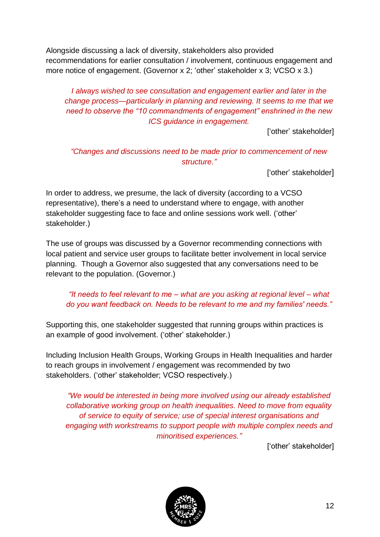Alongside discussing a lack of diversity, stakeholders also provided recommendations for earlier consultation / involvement, continuous engagement and more notice of engagement. (Governor x 2; 'other' stakeholder x 3; VCSO x 3.)

## *I always wished to see consultation and engagement earlier and later in the change process—particularly in planning and reviewing. It seems to me that we need to observe the "10 commandments of engagement" enshrined in the new ICS guidance in engagement.*

['other' stakeholder]

## *"Changes and discussions need to be made prior to commencement of new structure."*

['other' stakeholder]

In order to address, we presume, the lack of diversity (according to a VCSO representative), there's a need to understand where to engage, with another stakeholder suggesting face to face and online sessions work well. ('other' stakeholder.)

The use of groups was discussed by a Governor recommending connections with local patient and service user groups to facilitate better involvement in local service planning. Though a Governor also suggested that any conversations need to be relevant to the population. (Governor.)

*"It needs to feel relevant to me – what are you asking at regional level – what do you want feedback on. Needs to be relevant to me and my families' needs."*

Supporting this, one stakeholder suggested that running groups within practices is an example of good involvement. ('other' stakeholder.)

Including Inclusion Health Groups, Working Groups in Health Inequalities and harder to reach groups in involvement / engagement was recommended by two stakeholders. ('other' stakeholder; VCSO respectively.)

*"We would be interested in being more involved using our already established collaborative working group on health inequalities. Need to move from equality of service to equity of service; use of special interest organisations and engaging with workstreams to support people with multiple complex needs and minoritised experiences."*

['other' stakeholder]

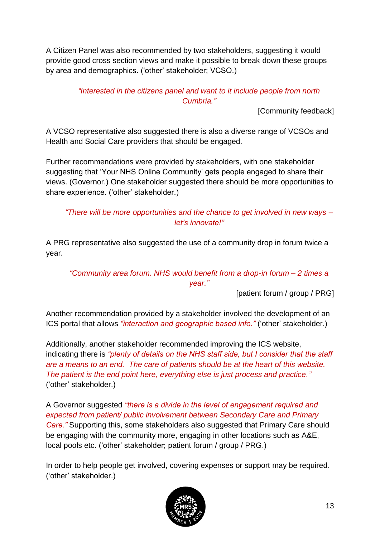A Citizen Panel was also recommended by two stakeholders, suggesting it would provide good cross section views and make it possible to break down these groups by area and demographics. ('other' stakeholder; VCSO.)

## *"Interested in the citizens panel and want to it include people from north Cumbria."*

[Community feedback]

A VCSO representative also suggested there is also a diverse range of VCSOs and Health and Social Care providers that should be engaged.

Further recommendations were provided by stakeholders, with one stakeholder suggesting that 'Your NHS Online Community' gets people engaged to share their views. (Governor.) One stakeholder suggested there should be more opportunities to share experience. ('other' stakeholder.)

## *"There will be more opportunities and the chance to get involved in new ways – let's innovate!"*

A PRG representative also suggested the use of a community drop in forum twice a year.

## *"Community area forum. NHS would benefit from a drop-in forum – 2 times a year."*

[patient forum / group / PRG]

Another recommendation provided by a stakeholder involved the development of an ICS portal that allows *"interaction and geographic based info."* ('other' stakeholder.)

Additionally, another stakeholder recommended improving the ICS website, indicating there is *"plenty of details on the NHS staff side, but I consider that the staff are a means to an end. The care of patients should be at the heart of this website. The patient is the end point here, everything else is just process and practice."* ('other' stakeholder.)

A Governor suggested *"there is a divide in the level of engagement required and expected from patient/ public involvement between Secondary Care and Primary Care."* Supporting this, some stakeholders also suggested that Primary Care should be engaging with the community more, engaging in other locations such as A&E, local pools etc. ('other' stakeholder; patient forum / group / PRG.)

In order to help people get involved, covering expenses or support may be required. ('other' stakeholder.)

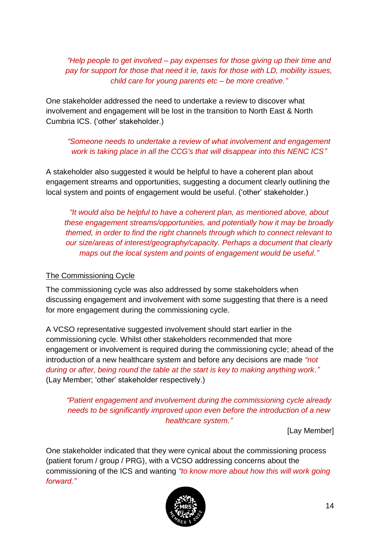*"Help people to get involved – pay expenses for those giving up their time and pay for support for those that need it ie, taxis for those with LD, mobility issues, child care for young parents etc – be more creative."*

One stakeholder addressed the need to undertake a review to discover what involvement and engagement will be lost in the transition to North East & North Cumbria ICS. ('other' stakeholder.)

*"Someone needs to undertake a review of what involvement and engagement work is taking place in all the CCG's that will disappear into this NENC ICS"*

A stakeholder also suggested it would be helpful to have a coherent plan about engagement streams and opportunities, suggesting a document clearly outlining the local system and points of engagement would be useful. ('other' stakeholder.)

*"It would also be helpful to have a coherent plan, as mentioned above, about these engagement streams/opportunities, and potentially how it may be broadly themed, in order to find the right channels through which to connect relevant to our size/areas of interest/geography/capacity. Perhaps a document that clearly maps out the local system and points of engagement would be useful."*

#### The Commissioning Cycle

The commissioning cycle was also addressed by some stakeholders when discussing engagement and involvement with some suggesting that there is a need for more engagement during the commissioning cycle.

A VCSO representative suggested involvement should start earlier in the commissioning cycle. Whilst other stakeholders recommended that more engagement or involvement is required during the commissioning cycle; ahead of the introduction of a new healthcare system and before any decisions are made *"not during or after, being round the table at the start is key to making anything work."*  (Lay Member; 'other' stakeholder respectively.)

## *"Patient engagement and involvement during the commissioning cycle already needs to be significantly improved upon even before the introduction of a new healthcare system."*

[Lay Member]

One stakeholder indicated that they were cynical about the commissioning process (patient forum / group / PRG), with a VCSO addressing concerns about the commissioning of the ICS and wanting *"to know more about how this will work going forward."*

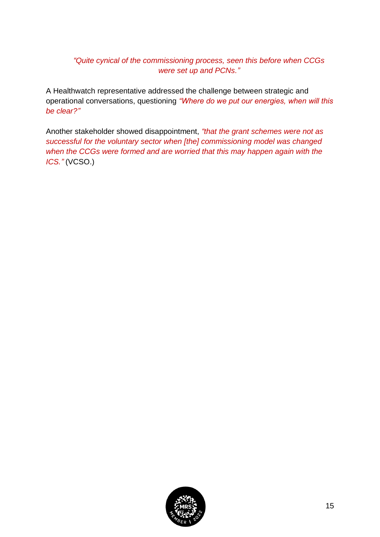## *"Quite cynical of the commissioning process, seen this before when CCGs were set up and PCNs."*

A Healthwatch representative addressed the challenge between strategic and operational conversations, questioning *"Where do we put our energies, when will this be clear?"*

Another stakeholder showed disappointment, *"that the grant schemes were not as successful for the voluntary sector when [the] commissioning model was changed when the CCGs were formed and are worried that this may happen again with the ICS."* (VCSO.)

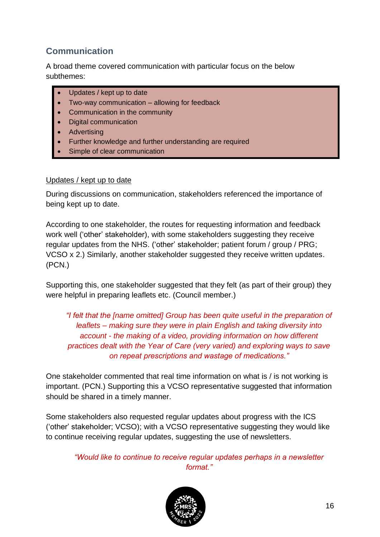## <span id="page-15-0"></span>**Communication**

A broad theme covered communication with particular focus on the below subthemes:

- Updates / kept up to date
- Two-way communication allowing for feedback
- Communication in the community
- Digital communication
- **Advertising**
- Further knowledge and further understanding are required
- Simple of clear communication

#### Updates / kept up to date

During discussions on communication, stakeholders referenced the importance of being kept up to date.

According to one stakeholder, the routes for requesting information and feedback work well ('other' stakeholder), with some stakeholders suggesting they receive regular updates from the NHS. ('other' stakeholder; patient forum / group / PRG; VCSO x 2.) Similarly, another stakeholder suggested they receive written updates. (PCN.)

Supporting this, one stakeholder suggested that they felt (as part of their group) they were helpful in preparing leaflets etc. (Council member.)

*"I felt that the [name omitted] Group has been quite useful in the preparation of leaflets – making sure they were in plain English and taking diversity into account - the making of a video, providing information on how different practices dealt with the Year of Care (very varied) and exploring ways to save on repeat prescriptions and wastage of medications."*

One stakeholder commented that real time information on what is / is not working is important. (PCN.) Supporting this a VCSO representative suggested that information should be shared in a timely manner.

Some stakeholders also requested regular updates about progress with the ICS ('other' stakeholder; VCSO); with a VCSO representative suggesting they would like to continue receiving regular updates, suggesting the use of newsletters.

*"Would like to continue to receive regular updates perhaps in a newsletter format."*

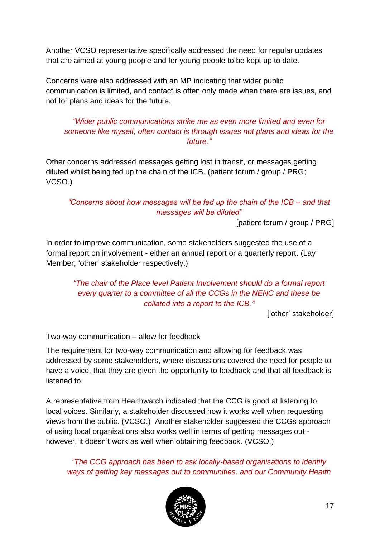Another VCSO representative specifically addressed the need for regular updates that are aimed at young people and for young people to be kept up to date.

Concerns were also addressed with an MP indicating that wider public communication is limited, and contact is often only made when there are issues, and not for plans and ideas for the future.

## *"Wider public communications strike me as even more limited and even for someone like myself, often contact is through issues not plans and ideas for the future."*

Other concerns addressed messages getting lost in transit, or messages getting diluted whilst being fed up the chain of the ICB. (patient forum / group / PRG; VCSO.)

## *"Concerns about how messages will be fed up the chain of the ICB – and that messages will be diluted"*

[patient forum / group / PRG]

In order to improve communication, some stakeholders suggested the use of a formal report on involvement - either an annual report or a quarterly report. (Lay Member; 'other' stakeholder respectively.)

## *"The chair of the Place level Patient Involvement should do a formal report every quarter to a committee of all the CCGs in the NENC and these be collated into a report to the ICB."*

['other' stakeholder]

## Two-way communication – allow for feedback

The requirement for two-way communication and allowing for feedback was addressed by some stakeholders, where discussions covered the need for people to have a voice, that they are given the opportunity to feedback and that all feedback is listened to.

A representative from Healthwatch indicated that the CCG is good at listening to local voices. Similarly, a stakeholder discussed how it works well when requesting views from the public. (VCSO.) Another stakeholder suggested the CCGs approach of using local organisations also works well in terms of getting messages out however, it doesn't work as well when obtaining feedback. (VCSO.)

*"The CCG approach has been to ask locally-based organisations to identify ways of getting key messages out to communities, and our Community Health* 

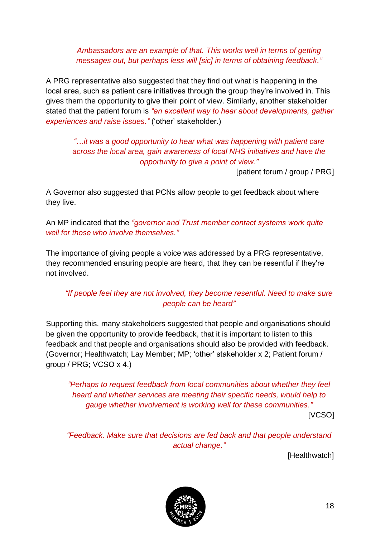*Ambassadors are an example of that. This works well in terms of getting messages out, but perhaps less will [sic] in terms of obtaining feedback."*

A PRG representative also suggested that they find out what is happening in the local area, such as patient care initiatives through the group they're involved in. This gives them the opportunity to give their point of view. Similarly, another stakeholder stated that the patient forum is *"an excellent way to hear about developments, gather experiences and raise issues."* ('other' stakeholder.)

*"…it was a good opportunity to hear what was happening with patient care across the local area, gain awareness of local NHS initiatives and have the opportunity to give a point of view."* 

[patient forum / group / PRG]

A Governor also suggested that PCNs allow people to get feedback about where they live.

An MP indicated that the *"governor and Trust member contact systems work quite well for those who involve themselves."*

The importance of giving people a voice was addressed by a PRG representative, they recommended ensuring people are heard, that they can be resentful if they're not involved.

## *"If people feel they are not involved, they become resentful. Need to make sure people can be heard"*

Supporting this, many stakeholders suggested that people and organisations should be given the opportunity to provide feedback, that it is important to listen to this feedback and that people and organisations should also be provided with feedback. (Governor; Healthwatch; Lay Member; MP; 'other' stakeholder x 2; Patient forum / group / PRG; VCSO x 4.)

*"Perhaps to request feedback from local communities about whether they feel heard and whether services are meeting their specific needs, would help to gauge whether involvement is working well for these communities."*

[VCSO]

*"Feedback. Make sure that decisions are fed back and that people understand actual change."*

[Healthwatch]

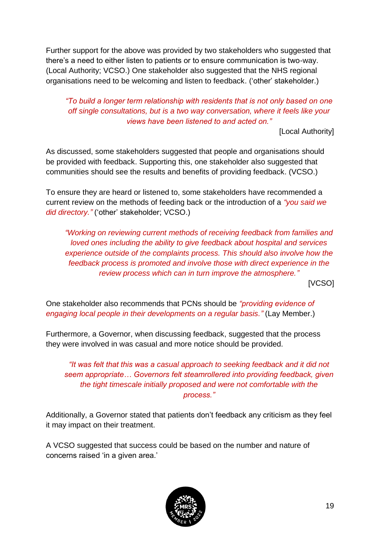Further support for the above was provided by two stakeholders who suggested that there's a need to either listen to patients or to ensure communication is two-way. (Local Authority; VCSO.) One stakeholder also suggested that the NHS regional organisations need to be welcoming and listen to feedback. ('other' stakeholder.)

## *"To build a longer term relationship with residents that is not only based on one off single consultations, but is a two way conversation, where it feels like your views have been listened to and acted on."*

[Local Authority]

As discussed, some stakeholders suggested that people and organisations should be provided with feedback. Supporting this, one stakeholder also suggested that communities should see the results and benefits of providing feedback. (VCSO.)

To ensure they are heard or listened to, some stakeholders have recommended a current review on the methods of feeding back or the introduction of a *"you said we did directory."* ('other' stakeholder; VCSO.)

*"Working on reviewing current methods of receiving feedback from families and loved ones including the ability to give feedback about hospital and services experience outside of the complaints process. This should also involve how the feedback process is promoted and involve those with direct experience in the review process which can in turn improve the atmosphere."*

[VCSO]

One stakeholder also recommends that PCNs should be *"providing evidence of engaging local people in their developments on a regular basis."* (Lay Member.)

Furthermore, a Governor, when discussing feedback, suggested that the process they were involved in was casual and more notice should be provided.

*"It was felt that this was a casual approach to seeking feedback and it did not seem appropriate… Governors felt steamrollered into providing feedback, given the tight timescale initially proposed and were not comfortable with the process."*

Additionally, a Governor stated that patients don't feedback any criticism as they feel it may impact on their treatment.

A VCSO suggested that success could be based on the number and nature of concerns raised 'in a given area.'

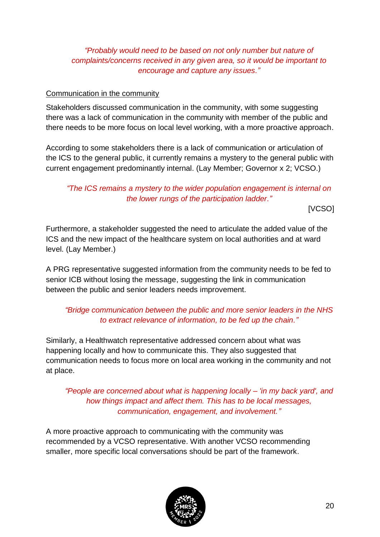## *"Probably would need to be based on not only number but nature of complaints/concerns received in any given area, so it would be important to encourage and capture any issues."*

#### Communication in the community

Stakeholders discussed communication in the community, with some suggesting there was a lack of communication in the community with member of the public and there needs to be more focus on local level working, with a more proactive approach.

According to some stakeholders there is a lack of communication or articulation of the ICS to the general public, it currently remains a mystery to the general public with current engagement predominantly internal. (Lay Member; Governor x 2; VCSO.)

## *"The ICS remains a mystery to the wider population engagement is internal on the lower rungs of the participation ladder."*

[VCSO]

Furthermore, a stakeholder suggested the need to articulate the added value of the ICS and the new impact of the healthcare system on local authorities and at ward level. (Lay Member.)

A PRG representative suggested information from the community needs to be fed to senior ICB without losing the message, suggesting the link in communication between the public and senior leaders needs improvement.

## *"Bridge communication between the public and more senior leaders in the NHS to extract relevance of information, to be fed up the chain."*

Similarly, a Healthwatch representative addressed concern about what was happening locally and how to communicate this. They also suggested that communication needs to focus more on local area working in the community and not at place.

## *"People are concerned about what is happening locally – 'in my back yard', and how things impact and affect them. This has to be local messages, communication, engagement, and involvement."*

A more proactive approach to communicating with the community was recommended by a VCSO representative. With another VCSO recommending smaller, more specific local conversations should be part of the framework.

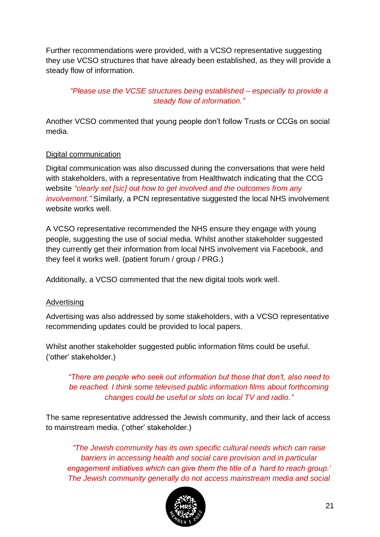Further recommendations were provided, with a VCSO representative suggesting they use VCSO structures that have already been established, as they will provide a steady flow of information.

## *"Please use the VCSE structures being established – especially to provide a steady flow of information."*

Another VCSO commented that young people don't follow Trusts or CCGs on social media.

## Digital communication

Digital communication was also discussed during the conversations that were held with stakeholders, with a representative from Healthwatch indicating that the CCG website *"clearly set [sic] out how to get involved and the outcomes from any involvement."* Similarly, a PCN representative suggested the local NHS involvement website works well.

A VCSO representative recommended the NHS ensure they engage with young people, suggesting the use of social media. Whilst another stakeholder suggested they currently get their information from local NHS involvement via Facebook, and they feel it works well. (patient forum / group / PRG.)

Additionally, a VCSO commented that the new digital tools work well.

#### **Advertising**

Advertising was also addressed by some stakeholders, with a VCSO representative recommending updates could be provided to local papers.

Whilst another stakeholder suggested public information films could be useful. ('other' stakeholder.)

*"There are people who seek out information but those that don't, also need to be reached. I think some televised public information films about forthcoming changes could be useful or slots on local TV and radio."*

The same representative addressed the Jewish community, and their lack of access to mainstream media. ('other' stakeholder.)

*"The Jewish community has its own specific cultural needs which can raise barriers in accessing health and social care provision and in particular engagement initiatives which can give them the title of a 'hard to reach group.' The Jewish community generally do not access mainstream media and social* 

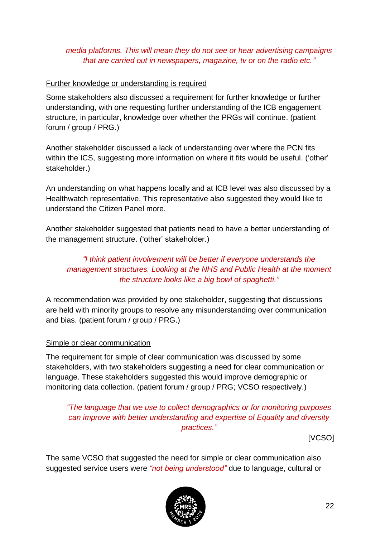## *media platforms. This will mean they do not see or hear advertising campaigns that are carried out in newspapers, magazine, tv or on the radio etc."*

## Further knowledge or understanding is required

Some stakeholders also discussed a requirement for further knowledge or further understanding, with one requesting further understanding of the ICB engagement structure, in particular, knowledge over whether the PRGs will continue. (patient forum / group / PRG.)

Another stakeholder discussed a lack of understanding over where the PCN fits within the ICS, suggesting more information on where it fits would be useful. ('other' stakeholder.)

An understanding on what happens locally and at ICB level was also discussed by a Healthwatch representative. This representative also suggested they would like to understand the Citizen Panel more.

Another stakeholder suggested that patients need to have a better understanding of the management structure. ('other' stakeholder.)

## *"I think patient involvement will be better if everyone understands the management structures. Looking at the NHS and Public Health at the moment the structure looks like a big bowl of spaghetti."*

A recommendation was provided by one stakeholder, suggesting that discussions are held with minority groups to resolve any misunderstanding over communication and bias. (patient forum / group / PRG.)

#### Simple or clear communication

The requirement for simple of clear communication was discussed by some stakeholders, with two stakeholders suggesting a need for clear communication or language. These stakeholders suggested this would improve demographic or monitoring data collection. (patient forum / group / PRG; VCSO respectively.)

## *"The language that we use to collect demographics or for monitoring purposes can improve with better understanding and expertise of Equality and diversity practices."*

[VCSO]

The same VCSO that suggested the need for simple or clear communication also suggested service users were *"not being understood"* due to language, cultural or

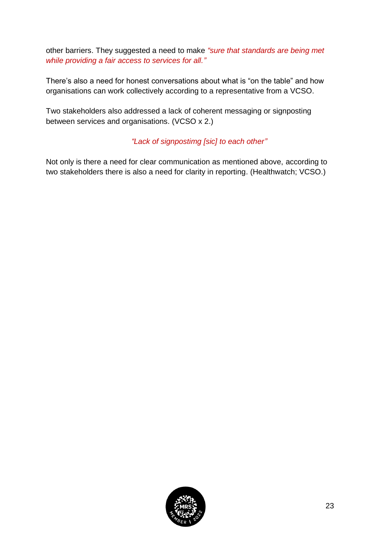other barriers. They suggested a need to make *"sure that standards are being met while providing a fair access to services for all."*

There's also a need for honest conversations about what is "on the table" and how organisations can work collectively according to a representative from a VCSO.

Two stakeholders also addressed a lack of coherent messaging or signposting between services and organisations. (VCSO x 2.)

## *"Lack of signpostimg [sic] to each other"*

Not only is there a need for clear communication as mentioned above, according to two stakeholders there is also a need for clarity in reporting. (Healthwatch; VCSO.)

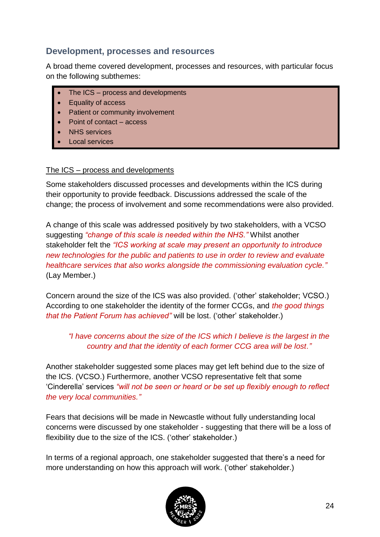## <span id="page-23-0"></span>**Development, processes and resources**

A broad theme covered development, processes and resources, with particular focus on the following subthemes:

- The ICS process and developments
- Equality of access
- Patient or community involvement
- Point of contact access
- **NHS** services
- Local services

#### The ICS – process and developments

Some stakeholders discussed processes and developments within the ICS during their opportunity to provide feedback. Discussions addressed the scale of the change; the process of involvement and some recommendations were also provided.

A change of this scale was addressed positively by two stakeholders, with a VCSO suggesting *"change of this scale is needed within the NHS."* Whilst another stakeholder felt the *"ICS working at scale may present an opportunity to introduce new technologies for the public and patients to use in order to review and evaluate healthcare services that also works alongside the commissioning evaluation cycle."* (Lay Member.)

Concern around the size of the ICS was also provided. ('other' stakeholder; VCSO.) According to one stakeholder the identity of the former CCGs, and *the good things that the Patient Forum has achieved"* will be lost. ('other' stakeholder.)

## *"I have concerns about the size of the ICS which I believe is the largest in the country and that the identity of each former CCG area will be lost."*

Another stakeholder suggested some places may get left behind due to the size of the ICS. (VCSO.) Furthermore, another VCSO representative felt that some 'Cinderella' services *"will not be seen or heard or be set up flexibly enough to reflect the very local communities."*

Fears that decisions will be made in Newcastle without fully understanding local concerns were discussed by one stakeholder - suggesting that there will be a loss of flexibility due to the size of the ICS. ('other' stakeholder.)

In terms of a regional approach, one stakeholder suggested that there's a need for more understanding on how this approach will work. ('other' stakeholder.)

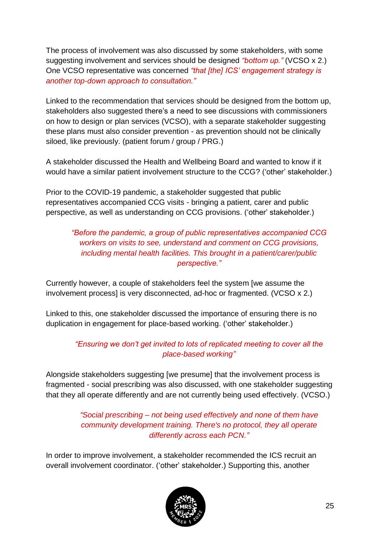The process of involvement was also discussed by some stakeholders, with some suggesting involvement and services should be designed *"bottom up."* (VCSO x 2.) One VCSO representative was concerned *"that [the] ICS' engagement strategy is another top-down approach to consultation."*

Linked to the recommendation that services should be designed from the bottom up, stakeholders also suggested there's a need to see discussions with commissioners on how to design or plan services (VCSO), with a separate stakeholder suggesting these plans must also consider prevention - as prevention should not be clinically siloed, like previously. (patient forum / group / PRG.)

A stakeholder discussed the Health and Wellbeing Board and wanted to know if it would have a similar patient involvement structure to the CCG? ('other' stakeholder.)

Prior to the COVID-19 pandemic, a stakeholder suggested that public representatives accompanied CCG visits - bringing a patient, carer and public perspective, as well as understanding on CCG provisions. ('other' stakeholder.)

## *"Before the pandemic, a group of public representatives accompanied CCG workers on visits to see, understand and comment on CCG provisions, including mental health facilities. This brought in a patient/carer/public perspective."*

Currently however, a couple of stakeholders feel the system [we assume the involvement process] is very disconnected, ad-hoc or fragmented. (VCSO x 2.)

Linked to this, one stakeholder discussed the importance of ensuring there is no duplication in engagement for place-based working. ('other' stakeholder.)

## *"Ensuring we don't get invited to lots of replicated meeting to cover all the place-based working"*

Alongside stakeholders suggesting [we presume] that the involvement process is fragmented - social prescribing was also discussed, with one stakeholder suggesting that they all operate differently and are not currently being used effectively. (VCSO.)

> *"Social prescribing – not being used effectively and none of them have community development training. There's no protocol, they all operate differently across each PCN."*

In order to improve involvement, a stakeholder recommended the ICS recruit an overall involvement coordinator. ('other' stakeholder.) Supporting this, another

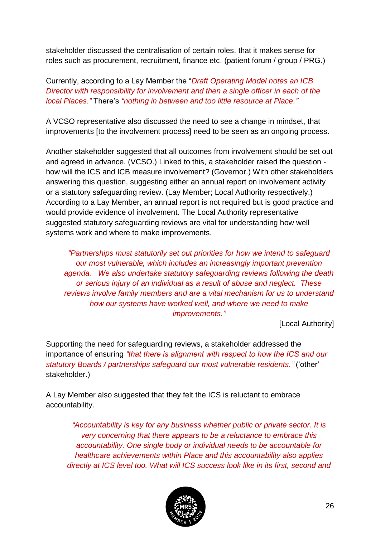stakeholder discussed the centralisation of certain roles, that it makes sense for roles such as procurement, recruitment, finance etc. (patient forum / group / PRG.)

## Currently, according to a Lay Member the "*Draft Operating Model notes an ICB Director with responsibility for involvement and then a single officer in each of the local Places."* There's *"nothing in between and too little resource at Place."*

A VCSO representative also discussed the need to see a change in mindset, that improvements [to the involvement process] need to be seen as an ongoing process.

Another stakeholder suggested that all outcomes from involvement should be set out and agreed in advance. (VCSO.) Linked to this, a stakeholder raised the question how will the ICS and ICB measure involvement? (Governor.) With other stakeholders answering this question, suggesting either an annual report on involvement activity or a statutory safeguarding review. (Lay Member; Local Authority respectively.) According to a Lay Member, an annual report is not required but is good practice and would provide evidence of involvement. The Local Authority representative suggested statutory safeguarding reviews are vital for understanding how well systems work and where to make improvements.

*"Partnerships must statutorily set out priorities for how we intend to safeguard our most vulnerable, which includes an increasingly important prevention agenda. We also undertake statutory safeguarding reviews following the death or serious injury of an individual as a result of abuse and neglect. These reviews involve family members and are a vital mechanism for us to understand how our systems have worked well, and where we need to make improvements."*

[Local Authority]

Supporting the need for safeguarding reviews, a stakeholder addressed the importance of ensuring *"that there is alignment with respect to how the ICS and our statutory Boards / partnerships safeguard our most vulnerable residents."* ('other' stakeholder.)

A Lay Member also suggested that they felt the ICS is reluctant to embrace accountability.

*"Accountability is key for any business whether public or private sector. It is very concerning that there appears to be a reluctance to embrace this accountability. One single body or individual needs to be accountable for healthcare achievements within Place and this accountability also applies directly at ICS level too. What will ICS success look like in its first, second and* 

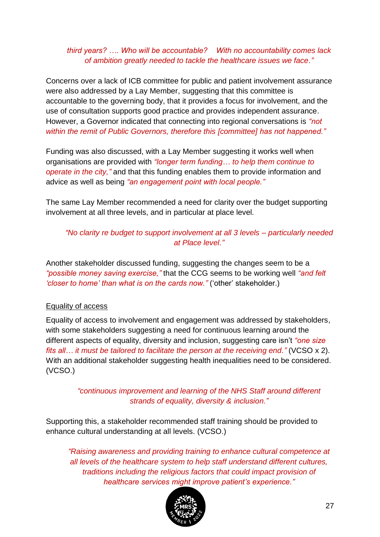## *third years? …. Who will be accountable? With no accountability comes lack of ambition greatly needed to tackle the healthcare issues we face."*

Concerns over a lack of ICB committee for public and patient involvement assurance were also addressed by a Lay Member, suggesting that this committee is accountable to the governing body, that it provides a focus for involvement, and the use of consultation supports good practice and provides independent assurance. However, a Governor indicated that connecting into regional conversations is *"not within the remit of Public Governors, therefore this [committee] has not happened."*

Funding was also discussed, with a Lay Member suggesting it works well when organisations are provided with *"longer term funding… to help them continue to operate in the city,"* and that this funding enables them to provide information and advice as well as being *"an engagement point with local people."*

The same Lay Member recommended a need for clarity over the budget supporting involvement at all three levels, and in particular at place level.

## *"No clarity re budget to support involvement at all 3 levels – particularly needed at Place level."*

Another stakeholder discussed funding, suggesting the changes seem to be a *"possible money saving exercise,"* that the CCG seems to be working well *"and felt 'closer to home' than what is on the cards now."* ('other' stakeholder.)

#### Equality of access

Equality of access to involvement and engagement was addressed by stakeholders, with some stakeholders suggesting a need for continuous learning around the different aspects of equality, diversity and inclusion, suggesting care isn't *"one size fits all… it must be tailored to facilitate the person at the receiving end."* (VCSO x 2). With an additional stakeholder suggesting health inequalities need to be considered. (VCSO.)

> *"continuous improvement and learning of the NHS Staff around different strands of equality, diversity & inclusion."*

Supporting this, a stakeholder recommended staff training should be provided to enhance cultural understanding at all levels. (VCSO.)

*"Raising awareness and providing training to enhance cultural competence at all levels of the healthcare system to help staff understand different cultures, traditions including the religious factors that could impact provision of healthcare services might improve patient's experience."*

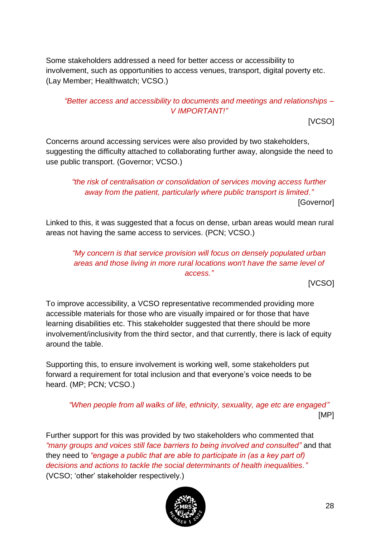Some stakeholders addressed a need for better access or accessibility to involvement, such as opportunities to access venues, transport, digital poverty etc. (Lay Member; Healthwatch; VCSO.)

## *"Better access and accessibility to documents and meetings and relationships – V IMPORTANT!"*

[VCSO]

Concerns around accessing services were also provided by two stakeholders, suggesting the difficulty attached to collaborating further away, alongside the need to use public transport. (Governor; VCSO.)

*"the risk of centralisation or consolidation of services moving access further away from the patient, particularly where public transport is limited."* [Governor]

Linked to this, it was suggested that a focus on dense, urban areas would mean rural areas not having the same access to services. (PCN; VCSO.)

*"My concern is that service provision will focus on densely populated urban areas and those living in more rural locations won't have the same level of access."*

[VCSO]

To improve accessibility, a VCSO representative recommended providing more accessible materials for those who are visually impaired or for those that have learning disabilities etc. This stakeholder suggested that there should be more involvement/inclusivity from the third sector, and that currently, there is lack of equity around the table.

Supporting this, to ensure involvement is working well, some stakeholders put forward a requirement for total inclusion and that everyone's voice needs to be heard. (MP; PCN; VCSO.)

*"When people from all walks of life, ethnicity, sexuality, age etc are engaged"* [MP]

Further support for this was provided by two stakeholders who commented that *"many groups and voices still face barriers to being involved and consulted"* and that they need to *"engage a public that are able to participate in (as a key part of) decisions and actions to tackle the social determinants of health inequalities."* (VCSO; 'other' stakeholder respectively.)

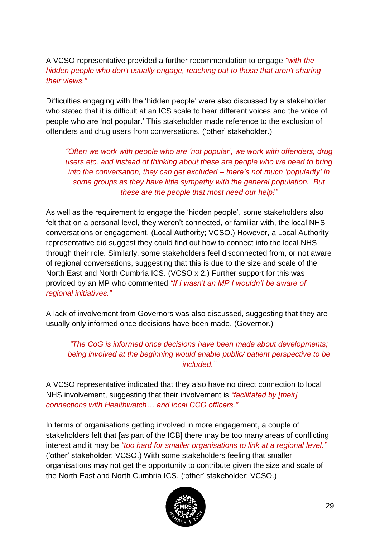A VCSO representative provided a further recommendation to engage *"with the hidden people who don't usually engage, reaching out to those that aren't sharing their views."*

Difficulties engaging with the 'hidden people' were also discussed by a stakeholder who stated that it is difficult at an ICS scale to hear different voices and the voice of people who are 'not popular.' This stakeholder made reference to the exclusion of offenders and drug users from conversations. ('other' stakeholder.)

*"Often we work with people who are 'not popular', we work with offenders, drug users etc, and instead of thinking about these are people who we need to bring into the conversation, they can get excluded – there's not much 'popularity' in some groups as they have little sympathy with the general population. But these are the people that most need our help!"*

As well as the requirement to engage the 'hidden people', some stakeholders also felt that on a personal level, they weren't connected, or familiar with, the local NHS conversations or engagement. (Local Authority; VCSO.) However, a Local Authority representative did suggest they could find out how to connect into the local NHS through their role. Similarly, some stakeholders feel disconnected from, or not aware of regional conversations, suggesting that this is due to the size and scale of the North East and North Cumbria ICS. (VCSO x 2.) Further support for this was provided by an MP who commented *"If I wasn't an MP I wouldn't be aware of regional initiatives."*

A lack of involvement from Governors was also discussed, suggesting that they are usually only informed once decisions have been made. (Governor.)

*"The CoG is informed once decisions have been made about developments; being involved at the beginning would enable public/ patient perspective to be included."*

A VCSO representative indicated that they also have no direct connection to local NHS involvement, suggesting that their involvement is *"facilitated by [their] connections with Healthwatch… and local CCG officers."*

In terms of organisations getting involved in more engagement, a couple of stakeholders felt that [as part of the ICB] there may be too many areas of conflicting interest and it may be *"too hard for smaller organisations to link at a regional level."* ('other' stakeholder; VCSO.) With some stakeholders feeling that smaller organisations may not get the opportunity to contribute given the size and scale of the North East and North Cumbria ICS. ('other' stakeholder; VCSO.)

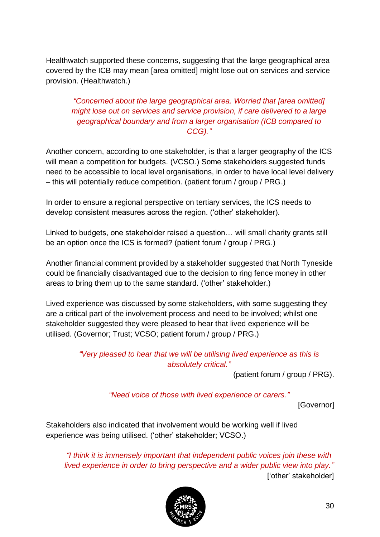Healthwatch supported these concerns, suggesting that the large geographical area covered by the ICB may mean [area omitted] might lose out on services and service provision. (Healthwatch.)

## *"Concerned about the large geographical area. Worried that [area omitted] might lose out on services and service provision, if care delivered to a large geographical boundary and from a larger organisation (ICB compared to CCG)."*

Another concern, according to one stakeholder, is that a larger geography of the ICS will mean a competition for budgets. (VCSO.) Some stakeholders suggested funds need to be accessible to local level organisations, in order to have local level delivery – this will potentially reduce competition. (patient forum / group / PRG.)

In order to ensure a regional perspective on tertiary services, the ICS needs to develop consistent measures across the region. ('other' stakeholder).

Linked to budgets, one stakeholder raised a question… will small charity grants still be an option once the ICS is formed? (patient forum / group / PRG.)

Another financial comment provided by a stakeholder suggested that North Tyneside could be financially disadvantaged due to the decision to ring fence money in other areas to bring them up to the same standard. ('other' stakeholder.)

Lived experience was discussed by some stakeholders, with some suggesting they are a critical part of the involvement process and need to be involved; whilst one stakeholder suggested they were pleased to hear that lived experience will be utilised. (Governor; Trust; VCSO; patient forum / group / PRG.)

## *"Very pleased to hear that we will be utilising lived experience as this is absolutely critical."*

(patient forum / group / PRG).

*"Need voice of those with lived experience or carers."*

[Governor]

Stakeholders also indicated that involvement would be working well if lived experience was being utilised. ('other' stakeholder; VCSO.)

*"I think it is immensely important that independent public voices join these with lived experience in order to bring perspective and a wider public view into play."* ['other' stakeholder]

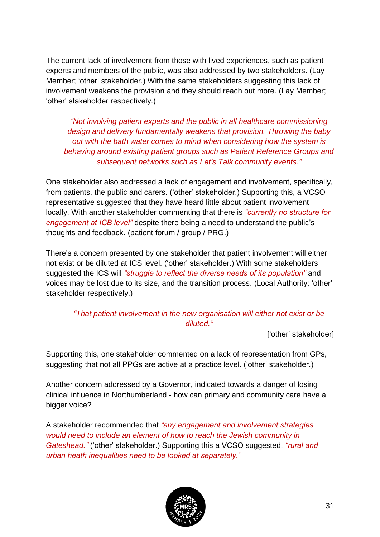The current lack of involvement from those with lived experiences, such as patient experts and members of the public, was also addressed by two stakeholders. (Lay Member; 'other' stakeholder.) With the same stakeholders suggesting this lack of involvement weakens the provision and they should reach out more. (Lay Member; 'other' stakeholder respectively.)

*"Not involving patient experts and the public in all healthcare commissioning design and delivery fundamentally weakens that provision. Throwing the baby out with the bath water comes to mind when considering how the system is behaving around existing patient groups such as Patient Reference Groups and subsequent networks such as Let's Talk community events."*

One stakeholder also addressed a lack of engagement and involvement, specifically, from patients, the public and carers. ('other' stakeholder.) Supporting this, a VCSO representative suggested that they have heard little about patient involvement locally. With another stakeholder commenting that there is *"currently no structure for engagement at ICB level"* despite there being a need to understand the public's thoughts and feedback. (patient forum / group / PRG.)

There's a concern presented by one stakeholder that patient involvement will either not exist or be diluted at ICS level. ('other' stakeholder.) With some stakeholders suggested the ICS will *"struggle to reflect the diverse needs of its population"* and voices may be lost due to its size, and the transition process. (Local Authority; 'other' stakeholder respectively.)

*"That patient involvement in the new organisation will either not exist or be diluted."*

['other' stakeholder]

Supporting this, one stakeholder commented on a lack of representation from GPs, suggesting that not all PPGs are active at a practice level. ('other' stakeholder.)

Another concern addressed by a Governor, indicated towards a danger of losing clinical influence in Northumberland - how can primary and community care have a bigger voice?

A stakeholder recommended that *"any engagement and involvement strategies would need to include an element of how to reach the Jewish community in Gateshead."* ('other' stakeholder.) Supporting this a VCSO suggested, *"rural and urban heath inequalities need to be looked at separately."*

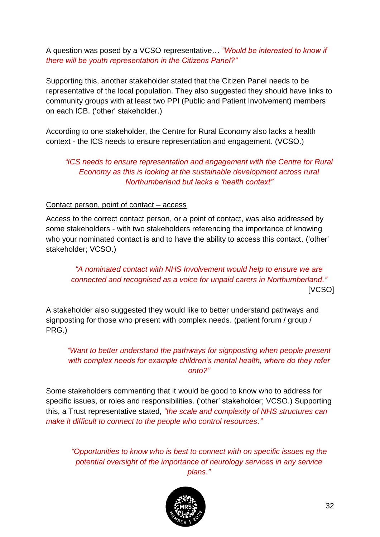A question was posed by a VCSO representative… *"Would be interested to know if there will be youth representation in the Citizens Panel?"*

Supporting this, another stakeholder stated that the Citizen Panel needs to be representative of the local population. They also suggested they should have links to community groups with at least two PPI (Public and Patient Involvement) members on each ICB. ('other' stakeholder.)

According to one stakeholder, the Centre for Rural Economy also lacks a health context - the ICS needs to ensure representation and engagement. (VCSO.)

*"ICS needs to ensure representation and engagement with the Centre for Rural Economy as this is looking at the sustainable development across rural Northumberland but lacks a 'health context"*

#### Contact person, point of contact – access

Access to the correct contact person, or a point of contact, was also addressed by some stakeholders - with two stakeholders referencing the importance of knowing who your nominated contact is and to have the ability to access this contact. ('other' stakeholder; VCSO.)

*"A nominated contact with NHS Involvement would help to ensure we are connected and recognised as a voice for unpaid carers in Northumberland."* [VCSO]

A stakeholder also suggested they would like to better understand pathways and signposting for those who present with complex needs. (patient forum / group / PRG.)

*"Want to better understand the pathways for signposting when people present with complex needs for example children's mental health, where do they refer onto?"*

Some stakeholders commenting that it would be good to know who to address for specific issues, or roles and responsibilities. ('other' stakeholder; VCSO.) Supporting this, a Trust representative stated, *"the scale and complexity of NHS structures can make it difficult to connect to the people who control resources."*

*"Opportunities to know who is best to connect with on specific issues eg the potential oversight of the importance of neurology services in any service plans."*

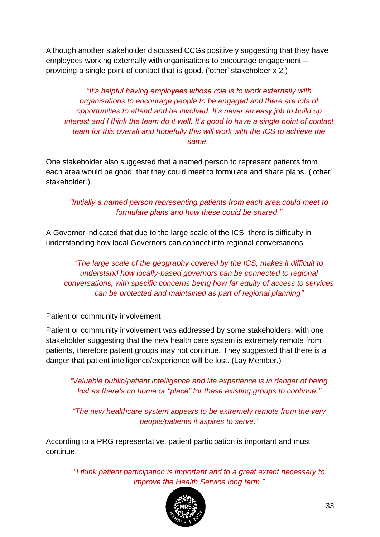Although another stakeholder discussed CCGs positively suggesting that they have employees working externally with organisations to encourage engagement – providing a single point of contact that is good. ('other' stakeholder x 2.)

*"It's helpful having employees whose role is to work externally with organisations to encourage people to be engaged and there are lots of opportunities to attend and be involved. It's never an easy job to build up interest and I think the team do it well. It's good to have a single point of contact team for this overall and hopefully this will work with the ICS to achieve the same."*

One stakeholder also suggested that a named person to represent patients from each area would be good, that they could meet to formulate and share plans. ('other' stakeholder.)

*"Initially a named person representing patients from each area could meet to formulate plans and how these could be shared."*

A Governor indicated that due to the large scale of the ICS, there is difficulty in understanding how local Governors can connect into regional conversations.

*"The large scale of the geography covered by the ICS, makes it difficult to understand how locally-based governors can be connected to regional conversations, with specific concerns being how far equity of access to services can be protected and maintained as part of regional planning"*

#### Patient or community involvement

Patient or community involvement was addressed by some stakeholders, with one stakeholder suggesting that the new health care system is extremely remote from patients, therefore patient groups may not continue. They suggested that there is a danger that patient intelligence/experience will be lost. (Lay Member.)

*"Valuable public/patient intelligence and life experience is in danger of being lost as there's no home or "place" for these existing groups to continue."*

*"The new healthcare system appears to be extremely remote from the very people/patients it aspires to serve."*

According to a PRG representative, patient participation is important and must continue.

> *"I think patient participation is important and to a great extent necessary to improve the Health Service long term."*

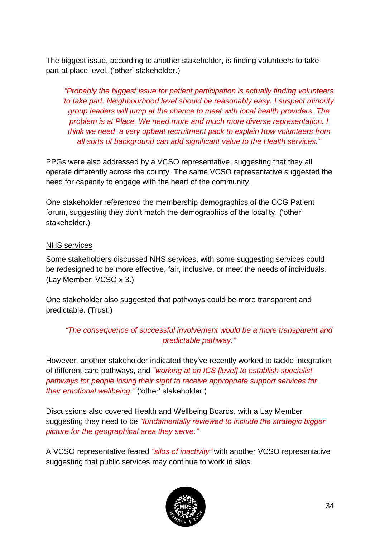The biggest issue, according to another stakeholder, is finding volunteers to take part at place level. ('other' stakeholder.)

*"Probably the biggest issue for patient participation is actually finding volunteers to take part. Neighbourhood level should be reasonably easy. I suspect minority group leaders will jump at the chance to meet with local health providers. The problem is at Place. We need more and much more diverse representation. I think we need a very upbeat recruitment pack to explain how volunteers from all sorts of background can add significant value to the Health services."*

PPGs were also addressed by a VCSO representative, suggesting that they all operate differently across the county. The same VCSO representative suggested the need for capacity to engage with the heart of the community.

One stakeholder referenced the membership demographics of the CCG Patient forum, suggesting they don't match the demographics of the locality. ('other' stakeholder.)

## NHS services

Some stakeholders discussed NHS services, with some suggesting services could be redesigned to be more effective, fair, inclusive, or meet the needs of individuals. (Lay Member; VCSO x 3.)

One stakeholder also suggested that pathways could be more transparent and predictable. (Trust.)

*"The consequence of successful involvement would be a more transparent and predictable pathway."*

However, another stakeholder indicated they've recently worked to tackle integration of different care pathways, and *"working at an ICS [level] to establish specialist pathways for people losing their sight to receive appropriate support services for their emotional wellbeing."* ('other' stakeholder.)

Discussions also covered Health and Wellbeing Boards, with a Lay Member suggesting they need to be *"fundamentally reviewed to include the strategic bigger picture for the geographical area they serve."*

A VCSO representative feared *"silos of inactivity"* with another VCSO representative suggesting that public services may continue to work in silos.

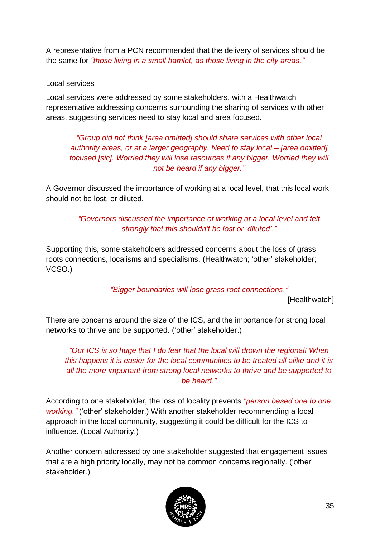A representative from a PCN recommended that the delivery of services should be the same for *"those living in a small hamlet, as those living in the city areas."*

#### Local services

Local services were addressed by some stakeholders, with a Healthwatch representative addressing concerns surrounding the sharing of services with other areas, suggesting services need to stay local and area focused.

*"Group did not think [area omitted] should share services with other local authority areas, or at a larger geography. Need to stay local – [area omitted] focused [sic]. Worried they will lose resources if any bigger. Worried they will not be heard if any bigger."*

A Governor discussed the importance of working at a local level, that this local work should not be lost, or diluted.

> *"Governors discussed the importance of working at a local level and felt strongly that this shouldn't be lost or 'diluted'."*

Supporting this, some stakeholders addressed concerns about the loss of grass roots connections, localisms and specialisms. (Healthwatch; 'other' stakeholder; VCSO.)

*"Bigger boundaries will lose grass root connections."*

[Healthwatch]

There are concerns around the size of the ICS, and the importance for strong local networks to thrive and be supported. ('other' stakeholder.)

*"Our ICS is so huge that I do fear that the local will drown the regional! When this happens it is easier for the local communities to be treated all alike and it is all the more important from strong local networks to thrive and be supported to be heard."*

According to one stakeholder, the loss of locality prevents *"person based one to one working."* ('other' stakeholder.) With another stakeholder recommending a local approach in the local community, suggesting it could be difficult for the ICS to influence. (Local Authority.)

Another concern addressed by one stakeholder suggested that engagement issues that are a high priority locally, may not be common concerns regionally. ('other' stakeholder.)

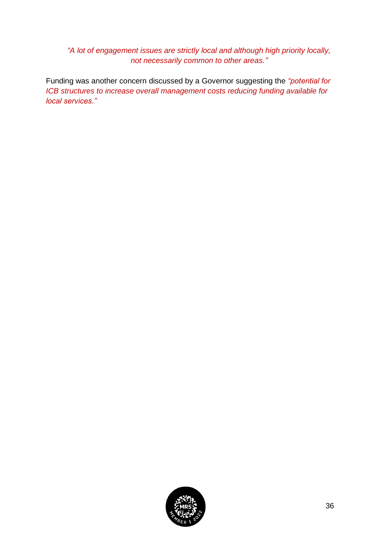*"A lot of engagement issues are strictly local and although high priority locally, not necessarily common to other areas."*

Funding was another concern discussed by a Governor suggesting the *"potential for ICB structures to increase overall management costs reducing funding available for local services."*

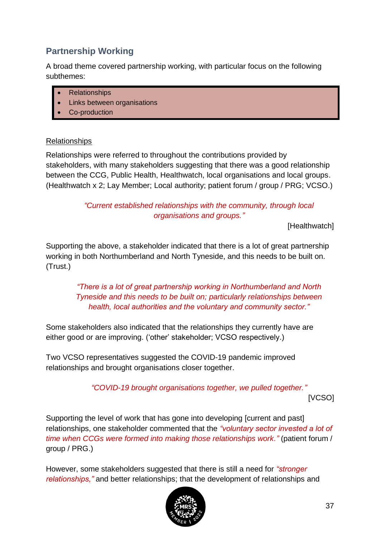## <span id="page-36-0"></span>**Partnership Working**

A broad theme covered partnership working, with particular focus on the following subthemes:

- Relationships
- Links between organisations
- Co-production

#### Relationships

Relationships were referred to throughout the contributions provided by stakeholders, with many stakeholders suggesting that there was a good relationship between the CCG, Public Health, Healthwatch, local organisations and local groups. (Healthwatch x 2; Lay Member; Local authority; patient forum / group / PRG; VCSO.)

> *"Current established relationships with the community, through local organisations and groups."*

> > [Healthwatch]

Supporting the above, a stakeholder indicated that there is a lot of great partnership working in both Northumberland and North Tyneside, and this needs to be built on. (Trust.)

> *"There is a lot of great partnership working in Northumberland and North Tyneside and this needs to be built on; particularly relationships between health, local authorities and the voluntary and community sector."*

Some stakeholders also indicated that the relationships they currently have are either good or are improving. ('other' stakeholder; VCSO respectively.)

Two VCSO representatives suggested the COVID-19 pandemic improved relationships and brought organisations closer together.

> *"COVID-19 brought organisations together, we pulled together."* [VCSO]

Supporting the level of work that has gone into developing [current and past] relationships, one stakeholder commented that the *"voluntary sector invested a lot of time when CCGs were formed into making those relationships work."* (patient forum / group / PRG.)

However, some stakeholders suggested that there is still a need for *"stronger relationships,"* and better relationships; that the development of relationships and

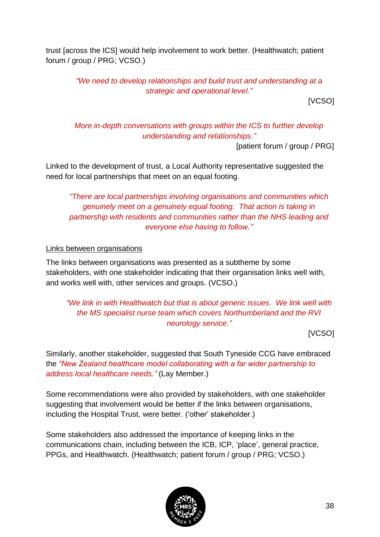trust [across the ICS] would help involvement to work better. (Healthwatch; patient forum / group / PRG; VCSO.)

> *"We need to develop relationships and build trust and understanding at a strategic and operational level."*

> > [VCSO]

*More in-depth conversations with groups within the ICS to further develop understanding and relationships."*

[patient forum / group / PRG]

Linked to the development of trust, a Local Authority representative suggested the need for local partnerships that meet on an equal footing.

*"There are local partnerships involving organisations and communities which genuinely meet on a genuinely equal footing. That action is taking in partnership with residents and communities rather than the NHS leading and everyone else having to follow."*

#### Links between organisations

The links between organisations was presented as a subtheme by some stakeholders, with one stakeholder indicating that their organisation links well with, and works well with, other services and groups. (VCSO.)

## *"We link in with Healthwatch but that is about generic issues. We link well with the MS specialist nurse team which covers Northumberland and the RVI neurology service."*

[VCSO]

Similarly, another stakeholder, suggested that South Tyneside CCG have embraced the *"New Zealand healthcare model collaborating with a far wider partnership to address local healthcare needs."* (Lay Member.)

Some recommendations were also provided by stakeholders, with one stakeholder suggesting that involvement would be better if the links between organisations, including the Hospital Trust, were better. ('other' stakeholder.)

Some stakeholders also addressed the importance of keeping links in the communications chain, including between the ICB, ICP, 'place', general practice, PPGs, and Healthwatch. (Healthwatch; patient forum / group / PRG; VCSO.)

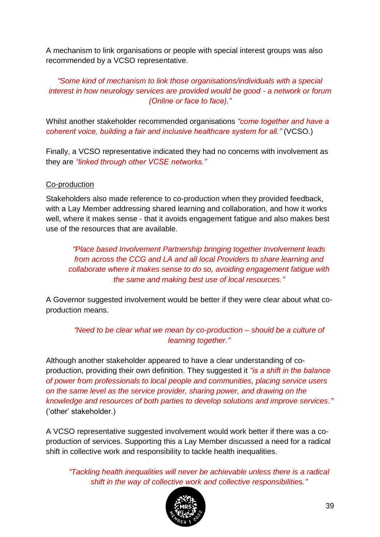A mechanism to link organisations or people with special interest groups was also recommended by a VCSO representative.

## *"Some kind of mechanism to link those organisations/individuals with a special interest in how neurology services are provided would be good - a network or forum (Online or face to face)."*

Whilst another stakeholder recommended organisations *"come together and have a coherent voice, building a fair and inclusive healthcare system for all."* (VCSO.)

Finally, a VCSO representative indicated they had no concerns with involvement as they are *"linked through other VCSE networks."*

#### Co-production

Stakeholders also made reference to co-production when they provided feedback, with a Lay Member addressing shared learning and collaboration, and how it works well, where it makes sense - that it avoids engagement fatigue and also makes best use of the resources that are available.

*"Place based Involvement Partnership bringing together Involvement leads from across the CCG and LA and all local Providers to share learning and collaborate where it makes sense to do so, avoiding engagement fatigue with the same and making best use of local resources."*

A Governor suggested involvement would be better if they were clear about what coproduction means.

*"Need to be clear what we mean by co-production – should be a culture of learning together."*

Although another stakeholder appeared to have a clear understanding of coproduction, providing their own definition. They suggested it *"is a shift in the balance of power from professionals to local people and communities, placing service users on the same level as the service provider, sharing power, and drawing on the knowledge and resources of both parties to develop solutions and improve services."* ('other' stakeholder.)

A VCSO representative suggested involvement would work better if there was a coproduction of services. Supporting this a Lay Member discussed a need for a radical shift in collective work and responsibility to tackle health inequalities.

*"Tackling health inequalities will never be achievable unless there is a radical shift in the way of collective work and collective responsibilities."*

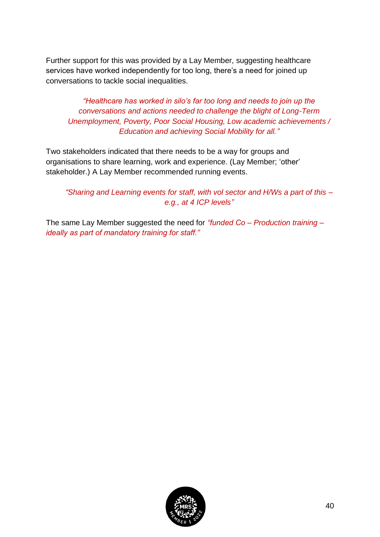Further support for this was provided by a Lay Member, suggesting healthcare services have worked independently for too long, there's a need for joined up conversations to tackle social inequalities.

*"Healthcare has worked in silo's far too long and needs to join up the conversations and actions needed to challenge the blight of Long-Term Unemployment, Poverty, Poor Social Housing, Low academic achievements / Education and achieving Social Mobility for all."* 

Two stakeholders indicated that there needs to be a way for groups and organisations to share learning, work and experience. (Lay Member; 'other' stakeholder.) A Lay Member recommended running events.

*"Sharing and Learning events for staff, with vol sector and H/Ws a part of this – e.g., at 4 ICP levels"*

The same Lay Member suggested the need for *"funded Co – Production training – ideally as part of mandatory training for staff."*

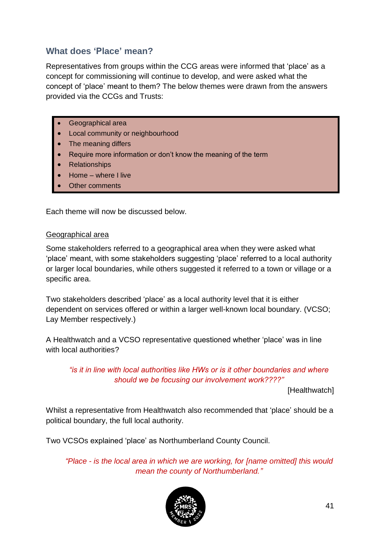## <span id="page-40-0"></span>**What does 'Place' mean?**

Representatives from groups within the CCG areas were informed that 'place' as a concept for commissioning will continue to develop, and were asked what the concept of 'place' meant to them? The below themes were drawn from the answers provided via the CCGs and Trusts:

- Geographical area
- Local community or neighbourhood
- The meaning differs
- Require more information or don't know the meaning of the term
- Relationships
- Home where I live
- **Other comments**

Each theme will now be discussed below.

#### Geographical area

Some stakeholders referred to a geographical area when they were asked what 'place' meant, with some stakeholders suggesting 'place' referred to a local authority or larger local boundaries, while others suggested it referred to a town or village or a specific area.

Two stakeholders described 'place' as a local authority level that it is either dependent on services offered or within a larger well-known local boundary. (VCSO; Lay Member respectively.)

A Healthwatch and a VCSO representative questioned whether 'place' was in line with local authorities?

*"is it in line with local authorities like HWs or is it other boundaries and where should we be focusing our involvement work????"*

[Healthwatch]

Whilst a representative from Healthwatch also recommended that 'place' should be a political boundary, the full local authority.

Two VCSOs explained 'place' as Northumberland County Council.

*"Place - is the local area in which we are working, for [name omitted] this would mean the county of Northumberland."*

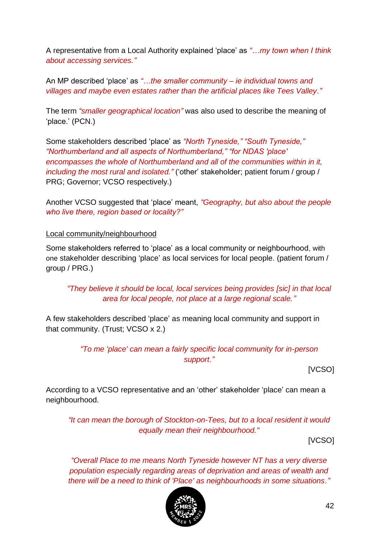A representative from a Local Authority explained 'place' as *"…my town when I think about accessing services."*

An MP described 'place' as *"…the smaller community – ie individual towns and villages and maybe even estates rather than the artificial places like Tees Valley."*

The term *"smaller geographical location"* was also used to describe the meaning of 'place.' (PCN.)

Some stakeholders described 'place' as *"North Tyneside," "South Tyneside," "Northumberland and all aspects of Northumberland," "for NDAS 'place' encompasses the whole of Northumberland and all of the communities within in it, including the most rural and isolated."* ('other' stakeholder; patient forum / group / PRG; Governor; VCSO respectively.)

Another VCSO suggested that 'place' meant, *"Geography, but also about the people who live there, region based or locality?"*

#### Local community/neighbourhood

Some stakeholders referred to 'place' as a local community or neighbourhood, with one stakeholder describing 'place' as local services for local people. (patient forum / group / PRG.)

*"They believe it should be local, local services being provides [sic] in that local area for local people, not place at a large regional scale."*

A few stakeholders described 'place' as meaning local community and support in that community. (Trust; VCSO x 2.)

> *"To me 'place' can mean a fairly specific local community for in-person support."*

> > [VCSO]

According to a VCSO representative and an 'other' stakeholder 'place' can mean a neighbourhood.

*"It can mean the borough of Stockton-on-Tees, but to a local resident it would equally mean their neighbourhood."*

[VCSO]

*"Overall Place to me means North Tyneside however NT has a very diverse population especially regarding areas of deprivation and areas of wealth and there will be a need to think of 'Place' as neighbourhoods in some situations."*

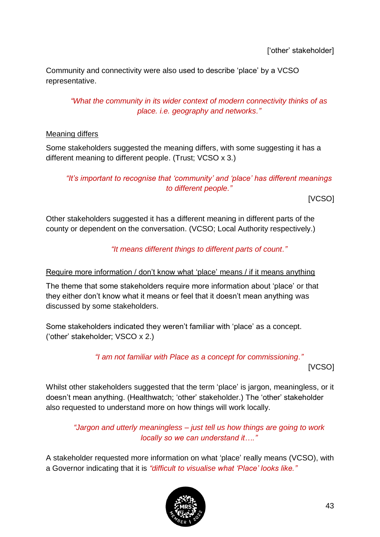Community and connectivity were also used to describe 'place' by a VCSO representative.

*"What the community in its wider context of modern connectivity thinks of as place. i.e. geography and networks."*

#### Meaning differs

Some stakeholders suggested the meaning differs, with some suggesting it has a different meaning to different people. (Trust; VCSO x 3.)

## *"It's important to recognise that 'community' and 'place' has different meanings to different people."*

[VCSO]

Other stakeholders suggested it has a different meaning in different parts of the county or dependent on the conversation. (VCSO; Local Authority respectively.)

*"It means different things to different parts of count."*

## Require more information / don't know what 'place' means / if it means anything

The theme that some stakeholders require more information about 'place' or that they either don't know what it means or feel that it doesn't mean anything was discussed by some stakeholders.

Some stakeholders indicated they weren't familiar with 'place' as a concept. ('other' stakeholder; VSCO x 2.)

*"I am not familiar with Place as a concept for commissioning."*

[VCSO]

Whilst other stakeholders suggested that the term 'place' is jargon, meaningless, or it doesn't mean anything. (Healthwatch; 'other' stakeholder.) The 'other' stakeholder also requested to understand more on how things will work locally.

*"Jargon and utterly meaningless – just tell us how things are going to work locally so we can understand it…."*

A stakeholder requested more information on what 'place' really means (VCSO), with a Governor indicating that it is *"difficult to visualise what 'Place' looks like."*

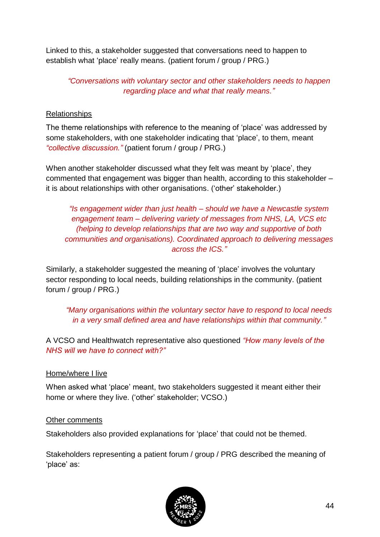Linked to this, a stakeholder suggested that conversations need to happen to establish what 'place' really means. (patient forum / group / PRG.)

*"Conversations with voluntary sector and other stakeholders needs to happen regarding place and what that really means."*

## Relationships

The theme relationships with reference to the meaning of 'place' was addressed by some stakeholders, with one stakeholder indicating that 'place', to them, meant *"collective discussion."* (patient forum / group / PRG.)

When another stakeholder discussed what they felt was meant by 'place', they commented that engagement was bigger than health, according to this stakeholder – it is about relationships with other organisations. ('other' stakeholder.)

*"Is engagement wider than just health – should we have a Newcastle system engagement team – delivering variety of messages from NHS, LA, VCS etc (helping to develop relationships that are two way and supportive of both communities and organisations). Coordinated approach to delivering messages across the ICS."* 

Similarly, a stakeholder suggested the meaning of 'place' involves the voluntary sector responding to local needs, building relationships in the community. (patient forum / group / PRG.)

*"Many organisations within the voluntary sector have to respond to local needs in a very small defined area and have relationships within that community."*

A VCSO and Healthwatch representative also questioned *"How many levels of the NHS will we have to connect with?"*

#### Home/where I live

When asked what 'place' meant, two stakeholders suggested it meant either their home or where they live. ('other' stakeholder; VCSO.)

#### Other comments

Stakeholders also provided explanations for 'place' that could not be themed.

Stakeholders representing a patient forum / group / PRG described the meaning of 'place' as:

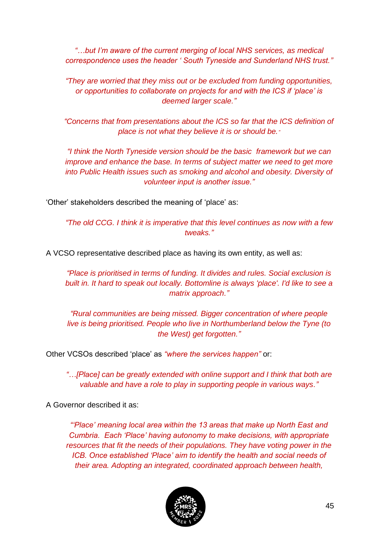*"…but I'm aware of the current merging of local NHS services, as medical correspondence uses the header ' South Tyneside and Sunderland NHS trust."*

*"They are worried that they miss out or be excluded from funding opportunities, or opportunities to collaborate on projects for and with the ICS if 'place' is deemed larger scale."*

*"Concerns that from presentations about the ICS so far that the ICS definition of place is not what they believe it is or should be."*

*"I think the North Tyneside version should be the basic framework but we can improve and enhance the base. In terms of subject matter we need to get more into Public Health issues such as smoking and alcohol and obesity. Diversity of volunteer input is another issue."*

'Other' stakeholders described the meaning of 'place' as:

*"The old CCG. I think it is imperative that this level continues as now with a few tweaks."*

A VCSO representative described place as having its own entity, as well as:

*"Place is prioritised in terms of funding. It divides and rules. Social exclusion is built in. It hard to speak out locally. Bottomline is always 'place'. I'd like to see a matrix approach."*

*"Rural communities are being missed. Bigger concentration of where people live is being prioritised. People who live in Northumberland below the Tyne (to the West) get forgotten."*

Other VCSOs described 'place' as *"where the services happen"* or:

*"…[Place] can be greatly extended with online support and I think that both are valuable and have a role to play in supporting people in various ways."*

A Governor described it as:

*"'Place' meaning local area within the 13 areas that make up North East and Cumbria. Each 'Place' having autonomy to make decisions, with appropriate resources that fit the needs of their populations. They have voting power in the ICB. Once established 'Place' aim to identify the health and social needs of their area. Adopting an integrated, coordinated approach between health,* 

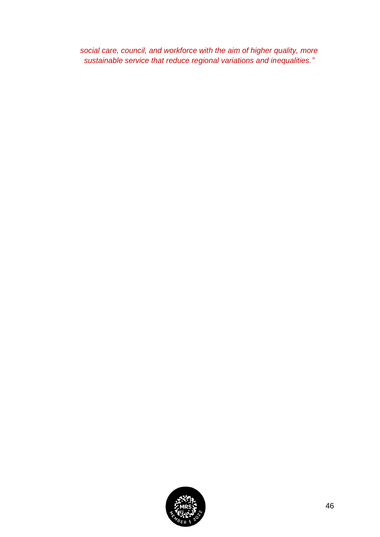*social care, council, and workforce with the aim of higher quality, more sustainable service that reduce regional variations and inequalities."*